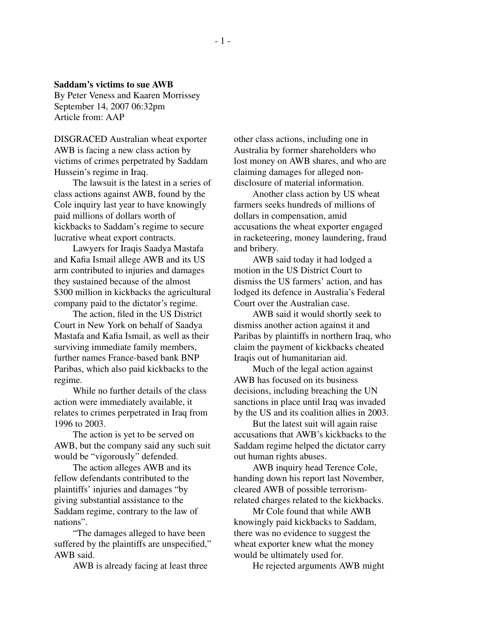## **Saddam's victims to sue AWB**

By Peter Veness and Kaaren Morrissey September 14, 2007 06:32pm Article from: AAP

DISGRACED Australian wheat exporter AWB is facing a new class action by victims of crimes perpetrated by Saddam Hussein's regime in Iraq.

The lawsuit is the latest in a series of class actions against AWB, found by the Cole inquiry last year to have knowingly paid millions of dollars worth of kickbacks to Saddam's regime to secure lucrative wheat export contracts.

Lawyers for Iraqis Saadya Mastafa and Kafia Ismail allege AWB and its US arm contributed to injuries and damages they sustained because of the almost \$300 million in kickbacks the agricultural company paid to the dictator's regime.

The action, filed in the US District Court in New York on behalf of Saadya Mastafa and Kafia Ismail, as well as their surviving immediate family members, further names France-based bank BNP Paribas, which also paid kickbacks to the regime.

While no further details of the class action were immediately available, it relates to crimes perpetrated in Iraq from 1996 to 2003.

The action is yet to be served on AWB, but the company said any such suit would be "vigorously" defended.

The action alleges AWB and its fellow defendants contributed to the plaintiffs' injuries and damages "by giving substantial assistance to the Saddam regime, contrary to the law of nations".

"The damages alleged to have been suffered by the plaintiffs are unspecified," AWB said.

AWB is already facing at least three

other class actions, including one in Australia by former shareholders who lost money on AWB shares, and who are claiming damages for alleged nondisclosure of material information.

Another class action by US wheat farmers seeks hundreds of millions of dollars in compensation, amid accusations the wheat exporter engaged in racketeering, money laundering, fraud and bribery.

AWB said today it had lodged a motion in the US District Court to dismiss the US farmers' action, and has lodged its defence in Australia's Federal Court over the Australian case.

AWB said it would shortly seek to dismiss another action against it and Paribas by plaintiffs in northern Iraq, who claim the payment of kickbacks cheated Iraqis out of humanitarian aid.

Much of the legal action against AWB has focused on its business decisions, including breaching the UN sanctions in place until Iraq was invaded by the US and its coalition allies in 2003.

But the latest suit will again raise accusations that AWB's kickbacks to the Saddam regime helped the dictator carry out human rights abuses.

AWB inquiry head Terence Cole, handing down his report last November, cleared AWB of possible terrorismrelated charges related to the kickbacks.

Mr Cole found that while AWB knowingly paid kickbacks to Saddam, there was no evidence to suggest the wheat exporter knew what the money would be ultimately used for.

He rejected arguments AWB might